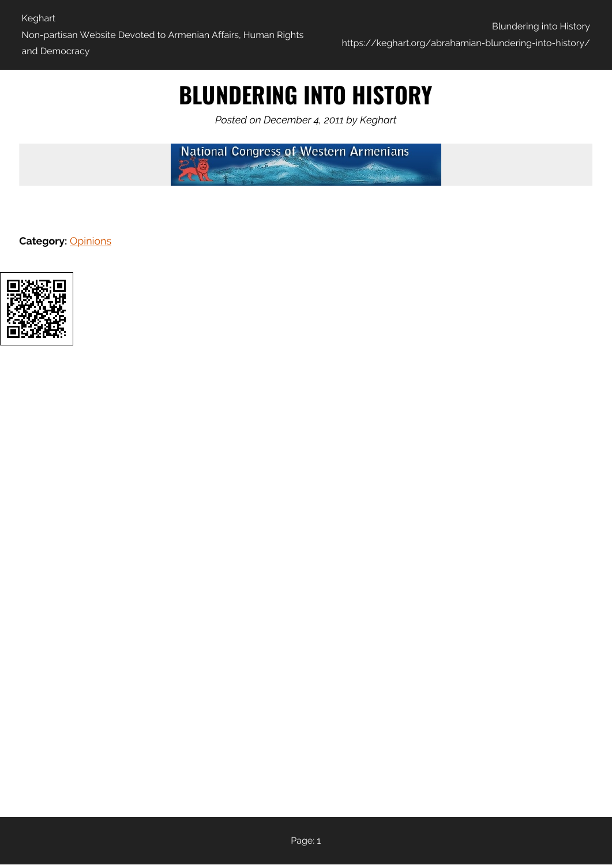# **BLUNDERING INTO HISTORY**

*Posted on December 4, 2011 by Keghart*

**National Congress of Western Armenians** 

**Category:** [Opinions](https://keghart.org/category/opinions/)

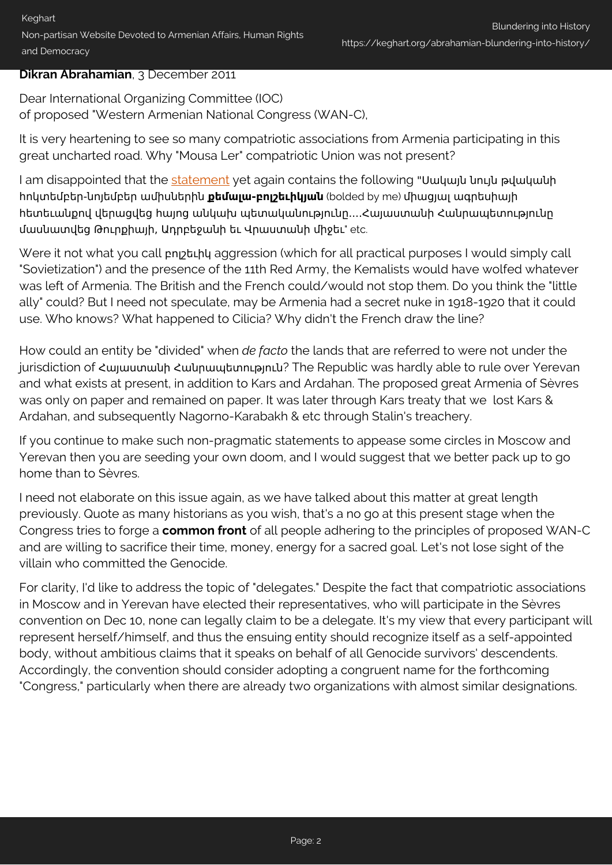#### **Dikran Abrahamian**, 3 December 2011

Dear International Organizing Committee (IOC) of proposed "Western Armenian National Congress (WAN-C),

It is very heartening to see so many compatriotic associations from Armenia participating in this great uncharted road. Why "Mousa Ler" compatriotic Union was not present?

I am disappointed that the [statement](#page-2-0) yet again contains the following "Սակայն նույն թվականի հոկտեմբեր-նոյեմբեր ամիսներին **քեմալա-բոլշեւիկյան** (bolded by me) միացյալ ագրեսիայի հետեւանքով վերացվեց հայոց անկախ պետականությունը....Հայաստանի Հանրապետությունը մասնատվեց Թուրքիայի, Ադրբեջանի եւ Վրաստանի միջեւ" etc.

Were it not what you call բոլշեւիկ aggression (which for all practical purposes I would simply call "Sovietization") and the presence of the 11th Red Army, the Kemalists would have wolfed whatever was left of Armenia. The British and the French could/would not stop them. Do you think the "little ally" could? But I need not speculate, may be Armenia had a secret nuke in 1918-1920 that it could use. Who knows? What happened to Cilicia? Why didn't the French draw the line?

How could an entity be "divided" when *de facto* the lands that are referred to were not under the jurisdiction of Հայաստանի Հանրապետություն? The Republic was hardly able to rule over Yerevan and what exists at present, in addition to Kars and Ardahan. The proposed great Armenia of Sèvres was only on paper and remained on paper. It was later through Kars treaty that we lost Kars & Ardahan, and subsequently Nagorno-Karabakh & etc through Stalin's treachery.

If you continue to make such non-pragmatic statements to appease some circles in Moscow and Yerevan then you are seeding your own doom, and I would suggest that we better pack up to go home than to Sèvres.

I need not elaborate on this issue again, as we have talked about this matter at great length previously. Quote as many historians as you wish, that's a no go at this present stage when the Congress tries to forge a **common front** of all people adhering to the principles of proposed WAN-C and are willing to sacrifice their time, money, energy for a sacred goal. Let's not lose sight of the villain who committed the Genocide.

For clarity, I'd like to address the topic of "delegates." Despite the fact that compatriotic associations in Moscow and in Yerevan have elected their representatives, who will participate in the Sèvres convention on Dec 10, none can legally claim to be a delegate. It's my view that every participant will represent herself/himself, and thus the ensuing entity should recognize itself as a self-appointed body, without ambitious claims that it speaks on behalf of all Genocide survivors' descendents. Accordingly, the convention should consider adopting a congruent name for the forthcoming "Congress," particularly when there are already two organizations with almost similar designations.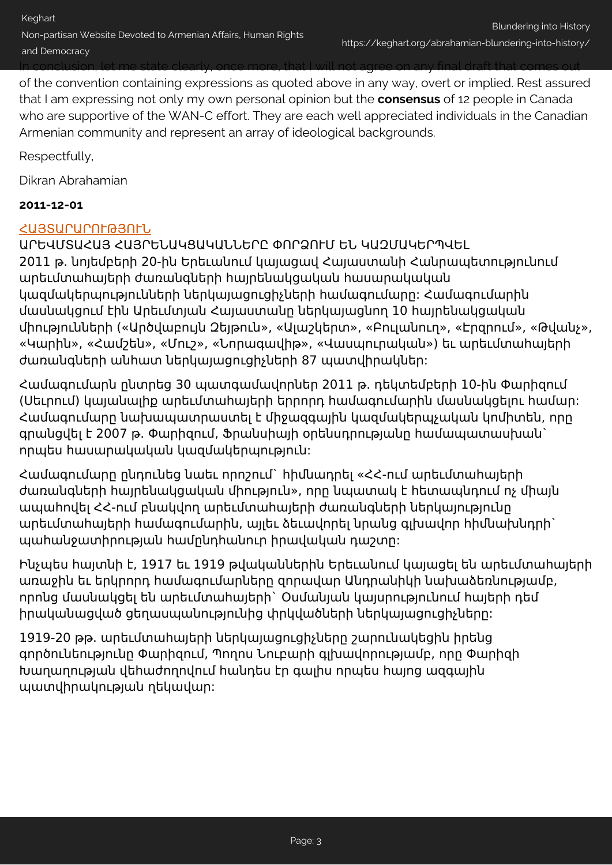of the convention containing expressions as quoted above in any way, overt or implied. Rest assured that I am expressing not only my own personal opinion but the **consensus** of 12 people in Canada who are supportive of the WAN-C effort. They are each well appreciated individuals in the Canadian Armenian community and represent an array of ideological backgrounds.

Respectfully,

<span id="page-2-0"></span>Dikran Abrahamian

#### **2011-12-01**

#### [ՀԱՅՏԱՐԱՐՈՒԹՅՈՒՆ](http://www.azg.am/AM/2011120116)

ԱՐԵՎՄՏԱՀԱՅ ՀԱՅՐԵՆԱԿՑԱԿԱՆՆԵՐԸ ՓՈՐՁՈՒՄ ԵՆ ԿԱԶՄԱԿԵՐՊՎԵԼ 2011 թ. նոյեմբերի 20-ին Երեւանում կայացավ Հայաստանի Հանրապետությունում արեւմտահայերի ժառանգների հայրենակցական հասարակական կազմակերպությունների ներկայացուցիչների համագումարը: Համագումարին մասնակցում էին Արեւմտյան Հայաստանը ներկայացնող 10 հայրենակցական միությունների («Արծվաբույն Զեյթուն», «Ալաշկերտ», «Բուլանուղ», «Էրզրում», «Թվանչ», «Կարին», «Համշեն», «Մուշ», «Նորագավիթ», «Վասպուրական») եւ արեւմտահայերի ժառանգների անհատ ներկայացուցիչների 87 պատվիրակներ:

Համագումարն ընտրեց 30 պատգամավորներ 2011 թ. դեկտեմբերի 10-ին Փարիզում (Սեւրում) կայանալիք արեւմտահայերի երրորդ համագումարին մասնակցելու համար: Համագումարը նախապատրաստել է միջազգային կազմակերպչական կոմիտեն, որը գրանցվել է 2007 թ. Փարիզում, Ֆրանսիայի օրենսդրությանը համապատասխան` որպես հասարակական կազմակերպություն:

Համագումարը ընդունեց նաեւ որոշում` հիմնադրել «ՀՀ-ում արեւմտահայերի ժառանգների հայրենակցական միություն», որը նպատակ է հետապնդում ոչ միայն ապահովել ՀՀ-ում բնակվող արեւմտահայերի ժառանգների ներկայությունը արեւմտահայերի համագումարին, այլեւ ձեւավորել նրանց գլխավոր հիմնախնդրի` պահանջատիրության համընդհանուր իրավական դաշտը:

Ինչպես հայտնի է, 1917 եւ 1919 թվականներին Երեւանում կայացել են արեւմտահայերի առաջին եւ երկրորդ համագումարները զորավար Անդրանիկի նախաձեռնությամբ, որոնց մասնակցել են արեւմտահայերի` Օսմանյան կայսրությունում հայերի դեմ իրականացված ցեղասպանությունից փրկվածների ներկայացուցիչները:

1919-20 թթ. արեւմտահայերի ներկայացուցիչները շարունակեցին իրենց գործունեությունը Փարիզում, Պողոս Նուբարի գլխավորությամբ, որը Փարիզի Խաղաղության վեհաժողովում հանդես էր գալիս որպես հայոց ազգային պատվիրակության ղեկավար: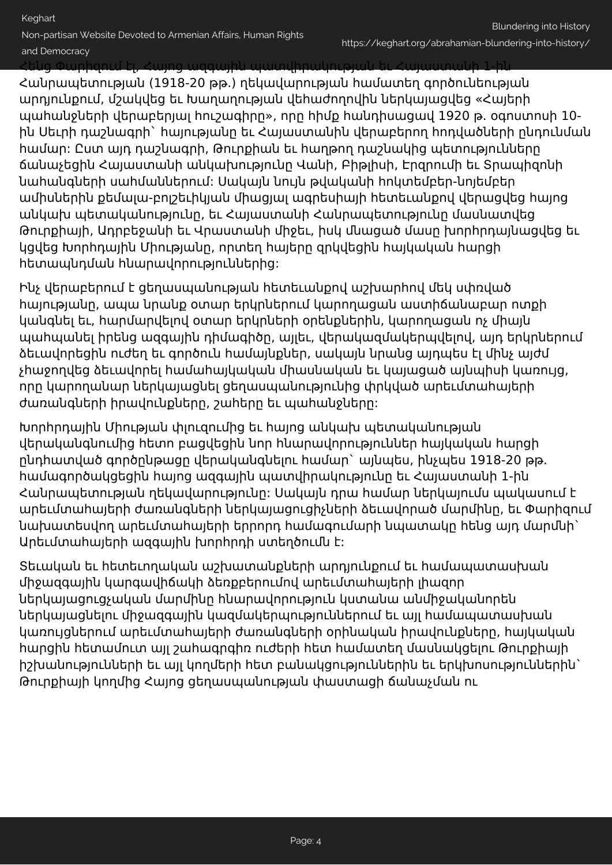Keghart

Non-partisan Website Devoted to Armenian Affairs, Human Rights

#### and Democracy

Հենց Փարիզում էլ, Հայոց ազգային պատվիրակության եւ Հայաստանի 1-ին

Հանրապետության (1918-20 թթ.) ղեկավարության համատեղ գործունեության արդյունքում, մշակվեց եւ Խաղաղության վեհաժողովին ներկայացվեց «Հայերի պահանջների վերաբերյալ հուշագիրը», որը հիմք հանդիսացավ 1920 թ. օգոստոսի 10 ին Սեւրի դաշնագրի` հայությանը եւ Հայաստանին վերաբերող հոդվածների ընդունման համար: Ըստ այդ դաշնագրի, Թուրքիան եւ հաղթող դաշնակից պետությունները ճանաչեցին Հայաստանի անկախությունը Վանի, Բիթլիսի, Էրզրումի եւ Տրապիզոնի նահանգների սահմաններում: Սակայն նույն թվականի հոկտեմբեր-նոյեմբեր ամիսներին քեմալա-բոլշեւիկյան միացյալ ագրեսիայի հետեւանքով վերացվեց հայոց անկախ պետականությունը, եւ Հայաստանի Հանրապետությունը մասնատվեց Թուրքիայի, Ադրբեջանի եւ Վրաստանի միջեւ, իսկ մնացած մասը խորհրդայնացվեց եւ կցվեց Խորհդային Միությանը, որտեղ հայերը զրկվեցին հայկական հարցի հետապնդման հնարավորություններից:

Ինչ վերաբերում է ցեղասպանության հետեւանքով աշխարհով մեկ սփռված հայությանը, ապա նրանք օտար երկրներում կարողացան աստիճանաբար ոտքի կանգնել եւ, հարմարվելով օտար երկրների օրենքներին, կարողացան ոչ միայն պահպանել իրենց ազգային դիմագիծը, այլեւ, վերակազմակերպվելով, այդ երկրներում ձեւավորեցին ուժեղ եւ գործուն համայնքներ, սակայն նրանց այդպես էլ մինչ այժմ չհաջողվեց ձեւավորել համահայկական միասնական եւ կայացած այնպիսի կառույց, որը կարողանար ներկայացնել ցեղասպանությունից փրկված արեւմտահայերի ժառանգների իրավունքները, շահերը եւ պահանջները:

Խորհրդային Միության փլուզումից եւ հայոց անկախ պետականության վերականգնումից հետո բացվեցին նոր հնարավորություններ հայկական հարցի ընդհատված գործընթացը վերականգնելու համար` այնպես, ինչպես 1918-20 թթ. համագործակցեցին հայոց ազգային պատվիրակությունը եւ Հայաստանի 1-ին Հանրապետության ղեկավարությունը: Սակայն դրա համար ներկայումս պակասում է արեւմտահայերի ժառանգների ներկայացուցիչների ձեւավորած մարմինը, եւ Փարիզում նախատեսվող արեւմտահայերի երրորդ համագումարի նպատակը հենց այդ մարմնի` Արեւմտահայերի ազգային խորհրդի ստեղծումն է:

Տեւական եւ հետեւողական աշխատանքների արդյունքում եւ համապատասխան միջազգային կարգավիճակի ձեռքբերումով արեւմտահայերի լիազոր ներկայացուցչական մարմինը հնարավորություն կստանա անմիջականորեն ներկայացնելու միջազգային կազմակերպություններում եւ այլ համապատասխան կառույցներում արեւմտահայերի ժառանգների օրինական իրավունքները, հայկական հարցին հետամուտ այլ շահագրգիռ ուժերի հետ համատեղ մասնակցելու Թուրքիայի իշխանությունների եւ այլ կողմերի հետ բանակցություններին եւ երկխոսություններին` Թուրքիայի կողմից Հայոց ցեղասպանության փաստացի ճանաչման ու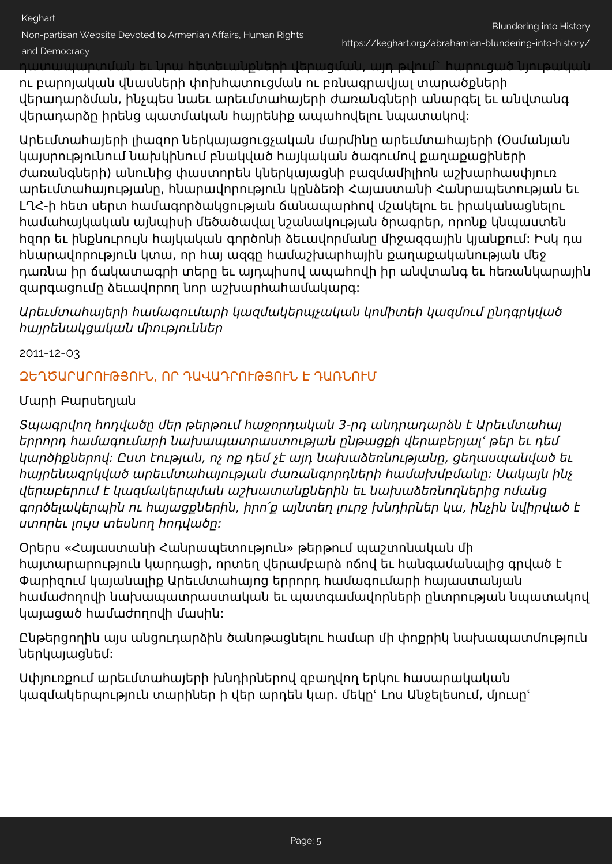Keghart Non-partisan Website Devoted to Armenian Affairs, Human Rights and Democracy

դատապարտման եւ նրա հետեւանքների վերացման, այդ թվում` հարուցած նյութական

ու բարոյական վնասների փոխհատուցման ու բռնագրավյալ տարածքների վերադարձման, ինչպես նաեւ արեւմտահայերի ժառանգների անարգել եւ անվտանգ վերադարձը իրենց պատմական հայրենիք ապահովելու նպատակով:

Արեւմտահայերի լիազոր ներկայացուցչական մարմինը արեւմտահայերի (Օսմանյան կայսրությունում նախկինում բնակված հայկական ծագումով քաղաքացիների ժառանգների) անունից փաստորեն կներկայացնի բազմամիլիոն աշխարհասփյուռ արեւմտահայությանը, հնարավորություն կընձեռի Հայաստանի Հանրապետության եւ ԼՂՀ-ի հետ սերտ համագործակցության ճանապարհով մշակելու եւ իրականացնելու համահայկական այնպիսի մեծածավալ նշանակության ծրագրեր, որոնք կնպաստեն հզոր եւ ինքնուրույն հայկական գործոնի ձեւավորմանը միջազգային կյանքում: Իսկ դա հնարավորություն կտա, որ հայ ազգը համաշխարհային քաղաքականության մեջ դառնա իր ճակատագրի տերը եւ այդպիսով ապահովի իր անվտանգ եւ հեռանկարային զարգացումը ձեւավորող նոր աշխարհահամակարգ:

## Արեւմտահայերի համագումարի կազմակերպչական կոմիտեի կազմում ընդգրկված հայրենակցական միություններ

2011-12-03

# [ԶԵՂԾԱՐԱՐՈՒԹՅՈՒՆ, ՈՐ ԴԱՎԱԴՐՈՒԹՅՈՒՆ Է ԴԱՌՆՈՒՄ](http://www.azg.am/AM/2011120318)

## Մարի Բարսեղյան

Տպագրվող հոդվածը մեր թերթում հաջորդական 3-րդ անդրադարձն է Արեւմտահայ երրորդ համագումարի նախապատրաստության ընթացքի վերաբերյալՙ թեր եւ դեմ կարծիքներով: Ըստ էության, ոչ ոք դեմ չէ այդ նախաձեռնությանը, ցեղասպանված եւ հայրենազրկված արեւմտահայության ժառանգորդների համախմբմանը: Սակայն ինչ վերաբերում է կազմակերպման աշխատանքներին եւ նախաձեռնողներից ոմանց գործելակերպին ու հայացքներին, իրո՛ք այնտեղ լուրջ խնդիրներ կա, ինչին նվիրված է ստորեւ լույս տեսնող հոդվածը:

Օրերս «Հայաստանի Հանրապետություն» թերթում պաշտոնական մի հայտարարություն կարդացի, որտեղ վերամբարձ ոճով եւ հանգամանալից գրված է Փարիզում կայանալիք Արեւմտահայոց երրորդ համագումարի հայաստանյան համաժողովի նախապատրաստական եւ պատգամավորների ընտրության նպատակով կայացած համաժողովի մասին:

Ընթերցողին այս անցուդարձին ծանոթացնելու համար մի փոքրիկ նախապատմություն ներկայացնեմ:

Սփյուռքում արեւմտահայերի խնդիրներով զբաղվող երկու հասարակական կազմակերպություն տարիներ ի վեր արդեն կար. մեկըՙ Լոս Անջելեսում, մյուսըՙ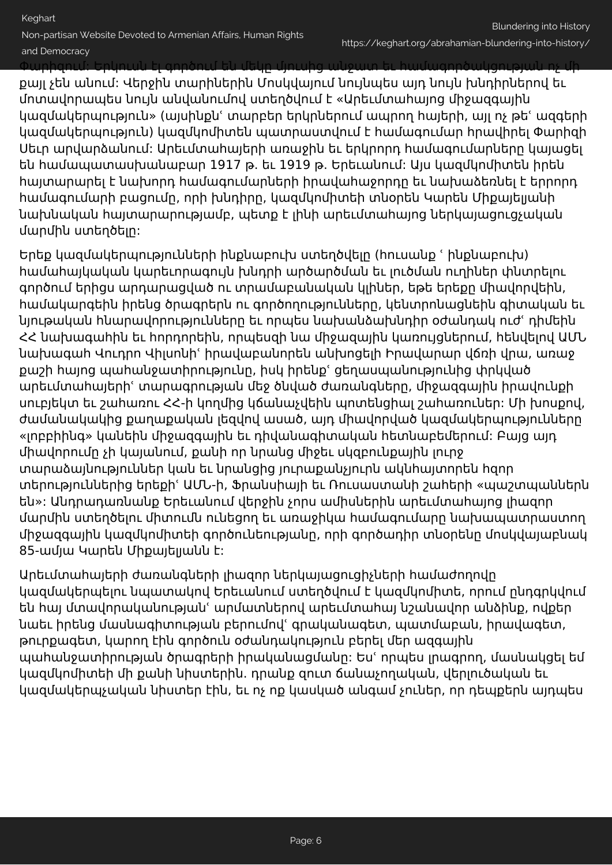Keghart

Non-partisan Website Devoted to Armenian Affairs, Human Rights and Democracy

Փարիզում: Երկուսն էլ գործում են մեկը մյուսից անջատ եւ համագործակցության ոչ մի

քայլ չեն անում: Վերջին տարիներին Մոսկվայում նույնպես այդ նույն խնդիրներով եւ մոտավորապես նույն անվանումով ստեղծվում է «Արեւմտահայոց միջազգային կազմակերպություն» (այսինքնՙ տարբեր երկրներում ապրող հայերի, այլ ոչ թեՙ ազգերի կազմակերպություն) կազմկոմիտեն պատրաստվում է համագումար հրավիրել Փարիզի Սեւր արվարձանում: Արեւմտահայերի առաջին եւ երկրորդ համագումարները կայացել են համապատասխանաբար 1917 թ. եւ 1919 թ. Երեւանում: Այս կազմկոմիտեն իրեն հայտարարել է նախորդ համագումարների իրավահաջորդը եւ նախաձեռնել է երրորդ համագումարի բացումը, որի խնդիրը, կազմկոմիտեի տնօրեն Կարեն Միքայելյանի նախնական հայտարարությամբ, պետք է լինի արեւմտահայոց ներկայացուցչական մարմին ստեղծելը:

Երեք կազմակերպությունների ինքնաբուխ ստեղծվելը (հուսանք ՙ ինքնաբուխ) համահայկական կարեւորագույն խնդրի արծարծման եւ լուծման ուղիներ փնտրելու գործում երիցս արդարացված ու տրամաբանական կլիներ, եթե երեքը միավորվեին, համակարգեին իրենց ծրագրերն ու գործողությունները, կենտրոնացնեին գիտական եւ նյութական հնարավորությունները եւ որպես նախանձախնդիր օժանդակ ուժՙ դիմեին ՀՀ նախագահին եւ հորդորեին, որպեսզի նա միջազային կառույցներում, հենվելով ԱՄՆ նախագահ Վուդրո Վիլսոնիՙ իրավաբանորեն անխոցելի Իրավարար վճռի վրա, առաջ քաշի հայոց պահանջատիրությունը, իսկ իրենքՙ ցեղասպանությունից փրկված արեւմտահայերիՙ տարագրության մեջ ծնված ժառանգները, միջազգային իրավունքի սուբյեկտ եւ շահառու ՀՀ-ի կողմից կճանաչվեին պոտենցիալ շահառուներ: Մի խոսքով, ժամանակակից քաղաքական լեզվով ասած, այդ միավորված կազմակերպությունները «լոբբիինգ» կանեին միջազգային եւ դիվանագիտական հետնաբեմերում: Բայց այդ միավորումը չի կայանում, քանի որ նրանց միջեւ սկզբունքային լուրջ տարաձայնություններ կան եւ նրանցից յուրաքանչյուրն ակնհայտորեն հզոր տերություններից երեքիՙ ԱՄՆ-ի, Ֆրանսիայի եւ Ռուսաստանի շահերի «պաշտպաններն են»: Անդրադառնանք Երեւանում վերջին չորս ամիսներին արեւմտահայոց լիազոր մարմին ստեղծելու միտումն ունեցող եւ առաջիկա համագումարը նախապատրաստող միջազգային կազմկոմիտեի գործունեությանը, որի գործադիր տնօրենը մոսկվայաբնակ 85-ամյա Կարեն Միքայելյանն է:

Արեւմտահայերի ժառանգների լիազոր ներկայացուցիչների համաժողովը կազմակերպելու նպատակով Երեւանում ստեղծվում է կազմկոմիտե, որում ընդգրկվում են հայ մտավորականությանՙ արմատներով արեւմտահայ նշանավոր անձինք, ովքեր նաեւ իրենց մասնագիտության բերումովՙ գրականագետ, պատմաբան, իրավագետ, թուրքագետ, կարող էին գործուն օժանդակություն բերել մեր ազգային պահանջատիրության ծրագրերի իրականացմանը: Եսՙ որպես լրագրող, մասնակցել եմ կազմկոմիտեի մի քանի նիստերին. դրանք զուտ ճանաչողական, վերլուծական եւ կազմակերպչական նիստեր էին, եւ ոչ ոք կասկած անգամ չուներ, որ դեպքերն այդպես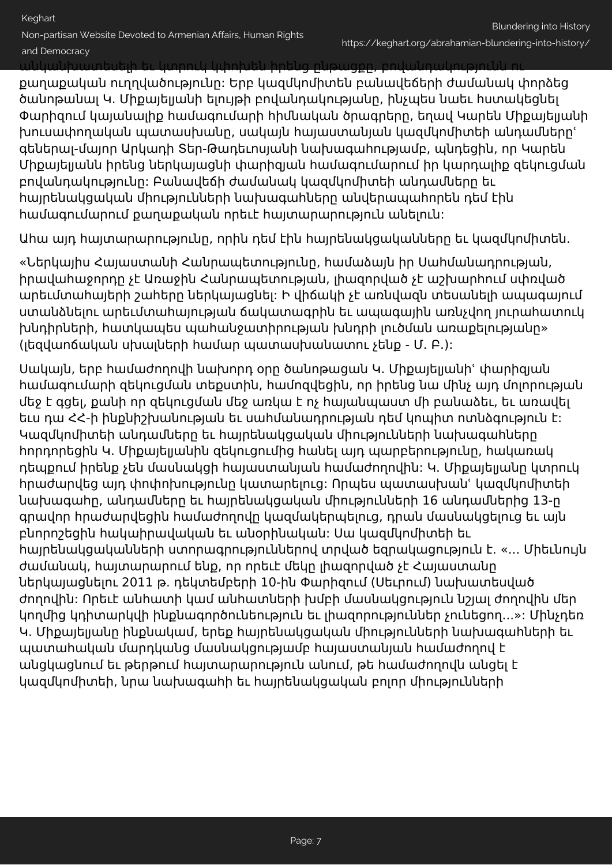Non-partisan Website Devoted to Armenian Affairs, Human Rights and Democracy

անկանխատեսելի եւ կտրուկ կփոխեն իրենց ընթացքը, բովանդակությունն ու

քաղաքական ուղղվածությունը: Երբ կազմկոմիտեն բանավեճերի ժամանակ փորձեց ծանոթանալ Կ. Միքայելյանի ելույթի բովանդակությանը, ինչպես նաեւ հստակեցնել Փարիզում կայանալիք համագումարի հիմնական ծրագրերը, եղավ Կարեն Միքայելյանի խուսափողական պատասխանը, սակայն հայաստանյան կազմկոմիտեի անդամներըՙ գեներալ-մայոր Արկադի Տեր-Թադեւոսյանի նախագահությամբ, պնդեցին, որ Կարեն Միքայելյանն իրենց ներկայացնի փարիզյան համագումարում իր կարդալիք զեկուցման բովանդակությունը: Բանավեճի ժամանակ կազմկոմիտեի անդամները եւ հայրենակցական միությունների նախագահները անվերապահորեն դեմ էին համագումարում քաղաքական որեւէ հայտարարություն անելուն:

Ահա այդ հայտարարությունը, որին դեմ էին հայրենակցականները եւ կազմկոմիտեն.

«Ներկայիս Հայաստանի Հանրապետությունը, համաձայն իր Սահմանադրության, իրավահաջորդը չէ Առաջին Հանրապետության, լիազորված չէ աշխարհում սփռված արեւմտահայերի շահերը ներկայացնել: Ի վիճակի չէ առնվազն տեսանելի ապագայում ստանձնելու արեւմտահայության ճակատագրին եւ ապագային առնչվող յուրահատուկ խնդիրների, հատկապես պահանջատիրության խնդրի լուծման առաքելությանը» (լեզվաոճական սխալների համար պատասխանատու չենք - Մ. Բ.):

Սակայն, երբ համաժողովի նախորդ օրը ծանոթացան Կ. Միքայելյանիՙ փարիզյան համագումարի զեկուցման տեքստին, համոզվեցին, որ իրենց նա մինչ այդ մոլորության մեջ է գցել, քանի որ զեկուցման մեջ առկա է ոչ հայանպաստ մի բանաձեւ, եւ առավել եւս դա ՀՀ-ի ինքնիշխանության եւ սահմանադրության դեմ կոպիտ ոտնձգություն է: Կազմկոմիտեի անդամները եւ հայրենակցական միությունների նախագահները հորդորեցին Կ. Միքայելյանին զեկուցումից հանել այդ պարբերությունը, հակառակ դեպքում իրենք չեն մասնակցի հայաստանյան համաժողովին: Կ. Միքայելյանը կտրուկ հրաժարվեց այդ փոփոխությունը կատարելուց: Որպես պատասխանՙ կազմկոմիտեի նախագահը, անդամները եւ հայրենակցական միությունների 16 անդամներից 13-ը գրավոր հրաժարվեցին համաժողովը կազմակերպելուց, դրան մասնակցելուց եւ այն բնորոշեցին հակաիրավական եւ անօրինական: Սա կազմկոմիտեի եւ հայրենակցականների ստորագրություններով տրված եզրակացություն է. «... Միեւնույն ժամանակ, հայտարարում ենք, որ որեւէ մեկը լիազորված չէ Հայաստանը ներկայացնելու 2011 թ. դեկտեմբերի 10-ին Փարիզում (Սեւրում) նախատեսված ժողովին: Որեւէ անհատի կամ անհատների խմբի մասնակցություն նշյալ ժողովին մեր կողմից կդիտարկվի ինքնագործունեություն եւ լիազորություններ չունեցող...»: Մինչդեռ Կ. Միքայելյանը ինքնակամ, երեք հայրենակցական միությունների նախագահների եւ պատահական մարդկանց մասնակցությամբ հայաստանյան համաժողով է անցկացնում եւ թերթում հայտարարություն անում, թե համաժողովն անցել է կազմկոմիտեի, նրա նախագահի եւ հայրենակցական բոլոր միությունների